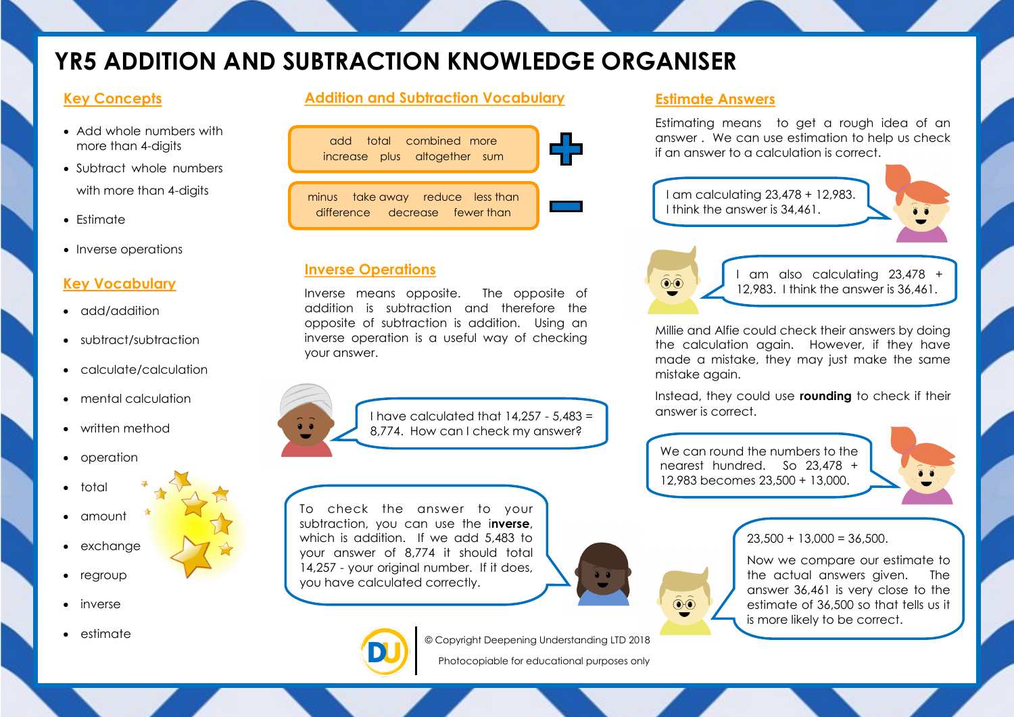# **YR5 ADDITION AND SUBTRACTION KNOWLEDGE ORGANISER**

### **Key Concepts**

- Add whole numbers with more than 4-digits
- Subtract whole numbers with more than 4-digits
- $\bullet$  Estimate
- Inverse operations

#### **Key Vocabulary**

- add/addition
- subtract/subtraction
- calculate/calculation
- mental calculation
- written method
- operation
- total
- amount
- exchange
- regroup
- inverse
- estimate

#### **Addition and Subtraction Vocabulary**

| add total combined more<br>increase plus altogether sum            |  |
|--------------------------------------------------------------------|--|
| minus take away reduce less than<br>difference decrease fewer than |  |

#### **Inverse Operations**

Inverse means opposite. The opposite of addition is subtraction and therefore the opposite of subtraction is addition. Using an inverse operation is a useful way of checking your answer.

 $\bullet$   $\bullet$ 

I have calculated that  $14.257 - 5.483 =$  answer is correct. 8,774. How can I check my answer?

To check the answer to your subtraction, you can use the i**nverse**, which is addition. If we add 5,483 to your answer of 8,774 it should total 14,257 - your original number. If it does, you have calculated correctly.





**Estimate Answers**

Estimating means to get a rough idea of an answer . We can use estimation to help us check if an answer to a calculation is correct.





 $\widehat{\circ}$ 

I am also calculating 23,478 + 12,983. I think the answer is 36,461.

Millie and Alfie could check their answers by doing the calculation again. However, if they have made a mistake, they may just make the same mistake again.

Instead, they could use **rounding** to check if their

We can round the numbers to the nearest hundred. So 23,478 + 12,983 becomes 23,500 + 13,000.



## $23.500 + 13.000 = 36.500$ .

Now we compare our estimate to the actual answers given. The answer 36,461 is very close to the estimate of 36,500 so that tells us it is more likely to be correct.



© Copyright Deepening Understanding LTD 2018

Photocopiable for educational purposes only